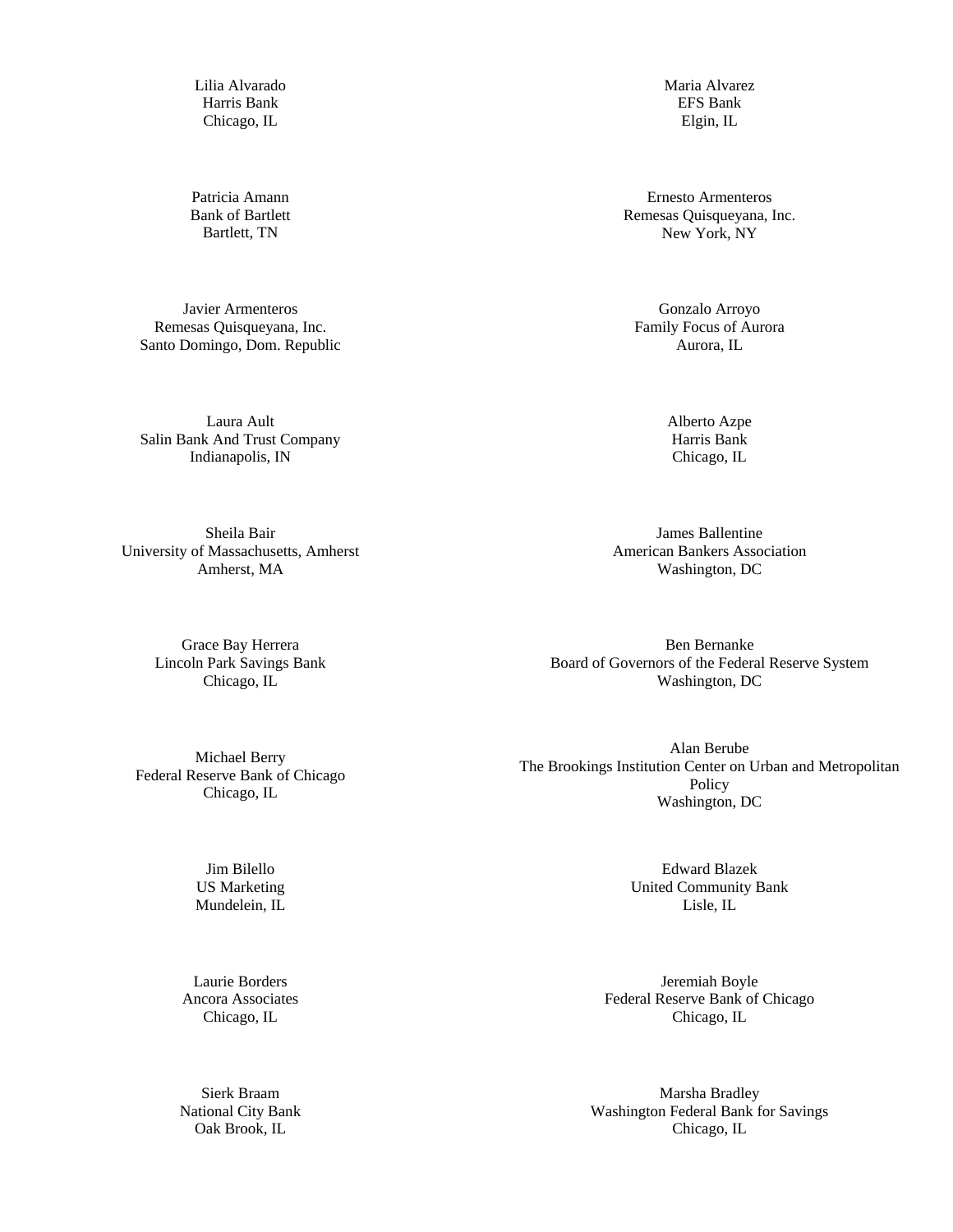Lilia Alvarado Harris Bank Chicago, IL

Patricia Amann Bank of Bartlett Bartlett, TN

Javier Armenteros Remesas Quisqueyana, Inc. Santo Domingo, Dom. Republic

Laura Ault Salin Bank And Trust Company Indianapolis, IN

Sheila Bair University of Massachusetts, Amherst Amherst, MA

> Grace Bay Herrera Lincoln Park Savings Bank Chicago, IL

Michael Berry Federal Reserve Bank of Chicago Chicago, IL

> Jim Bilello US Marketing Mundelein, IL

Laurie Borders Ancora Associates Chicago, IL

Sierk Braam National City Bank Oak Brook, IL

Maria Alvarez EFS Bank Elgin, IL

Ernesto Armenteros Remesas Quisqueyana, Inc. New York, NY

Gonzalo Arroyo Family Focus of Aurora Aurora, IL

> Alberto Azpe Harris Bank Chicago, IL

James Ballentine American Bankers Association Washington, DC

Ben Bernanke Board of Governors of the Federal Reserve System Washington, DC

Alan Berube The Brookings Institution Center on Urban and Metropolitan Policy Washington, DC

> Edward Blazek United Community Bank Lisle, IL

Jeremiah Boyle Federal Reserve Bank of Chicago Chicago, IL

Marsha Bradley Washington Federal Bank for Savings Chicago, IL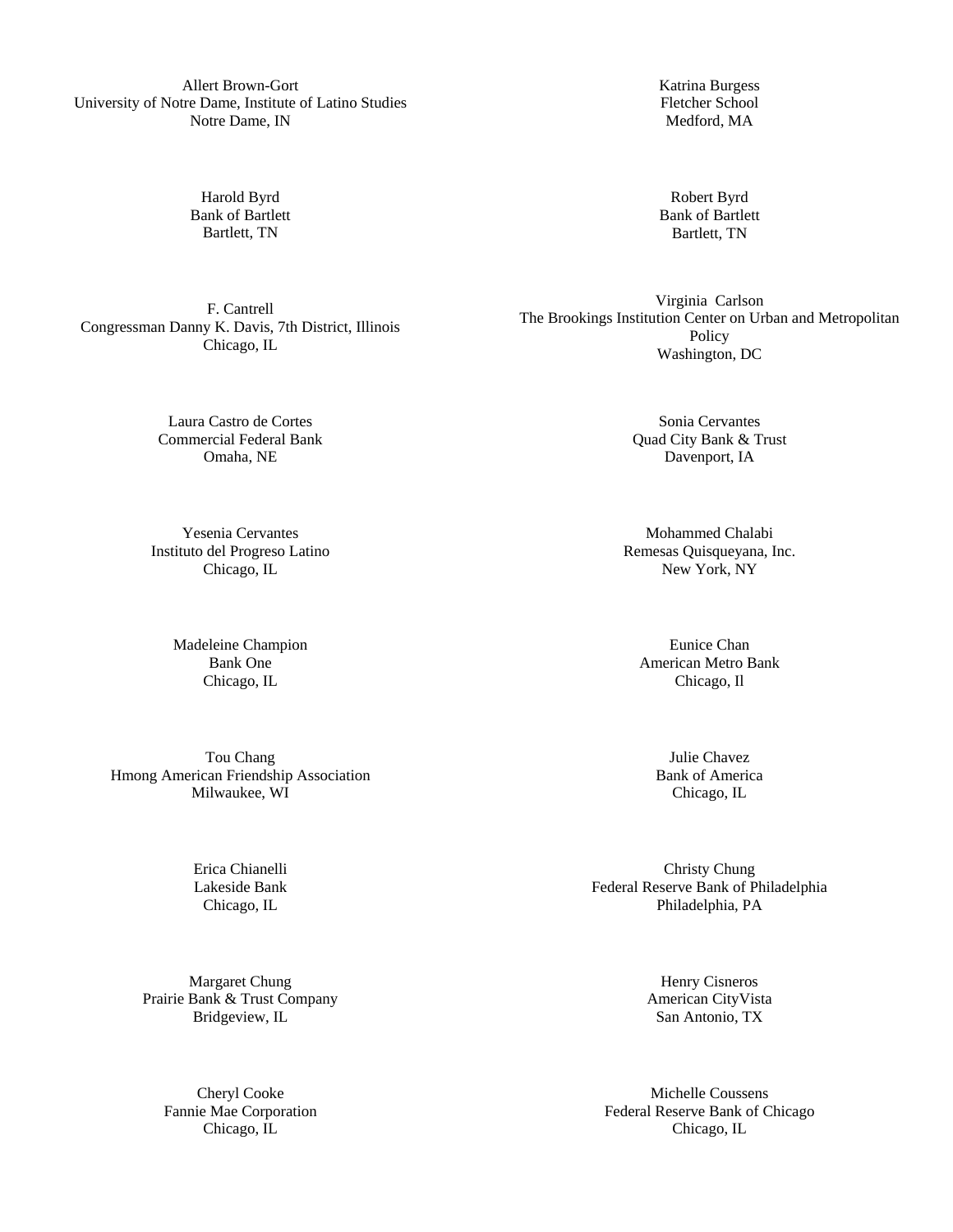Allert Brown-Gort University of Notre Dame, Institute of Latino Studies Notre Dame, IN

> Harold Byrd Bank of Bartlett Bartlett, TN

Katrina Burgess Fletcher School Medford, MA

Robert Byrd Bank of Bartlett Bartlett, TN

Virginia Carlson The Brookings Institution Center on Urban and Metropolitan Policy Washington, DC

> Sonia Cervantes Quad City Bank & Trust Davenport, IA

Mohammed Chalabi Remesas Quisqueyana, Inc. New York, NY

Eunice Chan American Metro Bank Chicago, Il

> Julie Chavez Bank of America Chicago, IL

Christy Chung Federal Reserve Bank of Philadelphia Philadelphia, PA

> Henry Cisneros American CityVista San Antonio, TX

Michelle Coussens Federal Reserve Bank of Chicago Chicago, IL

F. Cantrell Congressman Danny K. Davis, 7th District, Illinois Chicago, IL

> Laura Castro de Cortes Commercial Federal Bank Omaha, NE

Yesenia Cervantes Instituto del Progreso Latino Chicago, IL

> Madeleine Champion Bank One Chicago, IL

Tou Chang Hmong American Friendship Association Milwaukee, WI

> Erica Chianelli Lakeside Bank Chicago, IL

Margaret Chung Prairie Bank & Trust Company Bridgeview, IL

> Cheryl Cooke Fannie Mae Corporation Chicago, IL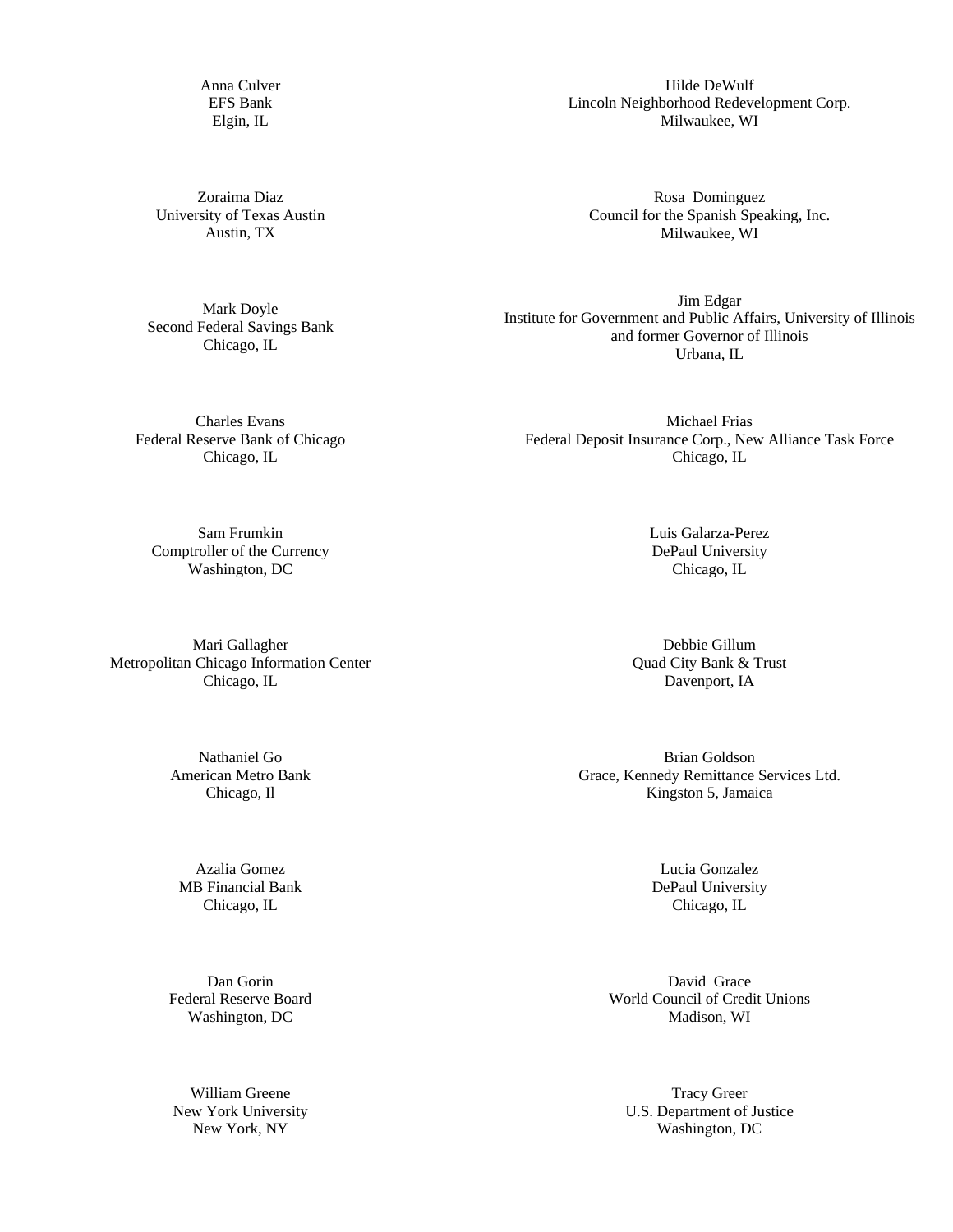Anna Culver EFS Bank Elgin, IL

Zoraima Diaz University of Texas Austin Austin, TX

Mark Doyle Second Federal Savings Bank Chicago, IL

Hilde DeWulf Lincoln Neighborhood Redevelopment Corp. Milwaukee, WI

Rosa Dominguez Council for the Spanish Speaking, Inc. Milwaukee, WI

Jim Edgar Institute for Government and Public Affairs, University of Illinois and former Governor of Illinois Urbana, IL

Charles Evans Federal Reserve Bank of Chicago Chicago, IL

Michael Frias Federal Deposit Insurance Corp., New Alliance Task Force Chicago, IL

Sam Frumkin Comptroller of the Currency Washington, DC

Mari Gallagher Metropolitan Chicago Information Center Chicago, IL

> Nathaniel Go American Metro Bank Chicago, Il

Azalia Gomez MB Financial Bank Chicago, IL

Dan Gorin Federal Reserve Board Washington, DC

William Greene New York University New York, NY

Luis Galarza-Perez DePaul University Chicago, IL

Debbie Gillum Quad City Bank & Trust Davenport, IA

Brian Goldson Grace, Kennedy Remittance Services Ltd. Kingston 5, Jamaica

> Lucia Gonzalez DePaul University Chicago, IL

David Grace World Council of Credit Unions Madison, WI

Tracy Greer U.S. Department of Justice Washington, DC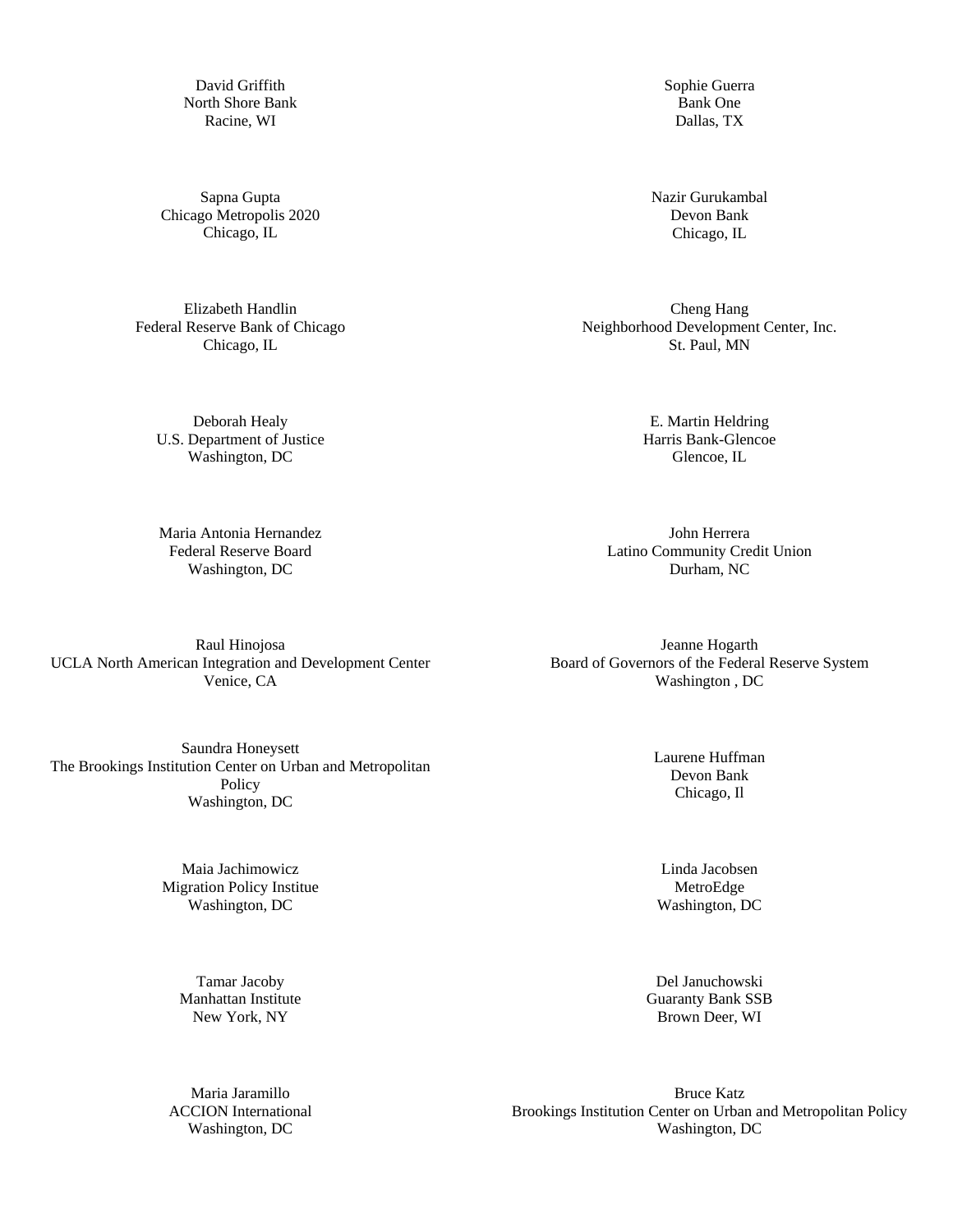David Griffith North Shore Bank Racine, WI

Sapna Gupta Chicago Metropolis 2020 Chicago, IL

Elizabeth Handlin Federal Reserve Bank of Chicago Chicago, IL

> Deborah Healy U.S. Department of Justice Washington, DC

Maria Antonia Hernandez Federal Reserve Board Washington, DC

Raul Hinojosa UCLA North American Integration and Development Center Venice, CA

Saundra Honeysett The Brookings Institution Center on Urban and Metropolitan Policy Washington, DC

> Maia Jachimowicz Migration Policy Institue Washington, DC

Tamar Jacoby Manhattan Institute New York, NY

Maria Jaramillo ACCION International Washington, DC

Sophie Guerra Bank One Dallas, TX

Nazir Gurukambal Devon Bank Chicago, IL

Cheng Hang Neighborhood Development Center, Inc. St. Paul, MN

> E. Martin Heldring Harris Bank-Glencoe Glencoe, IL

John Herrera Latino Community Credit Union Durham, NC

Jeanne Hogarth Board of Governors of the Federal Reserve System Washington , DC

> Laurene Huffman Devon Bank Chicago, Il

Linda Jacobsen MetroEdge Washington, DC

Del Januchowski Guaranty Bank SSB Brown Deer, WI

Bruce Katz Brookings Institution Center on Urban and Metropolitan Policy Washington, DC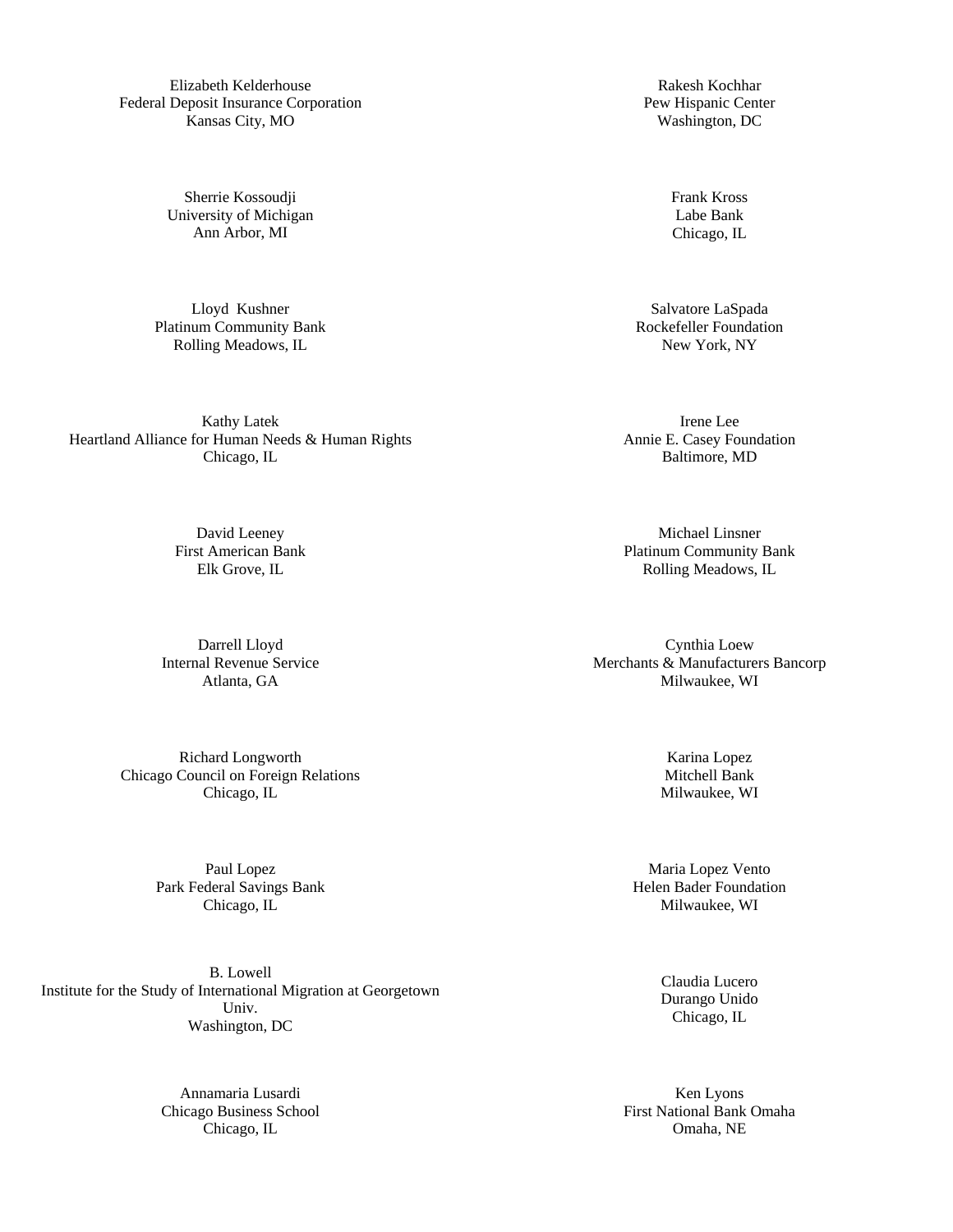Elizabeth Kelderhouse Federal Deposit Insurance Corporation Kansas City, MO

> Sherrie Kossoudji University of Michigan Ann Arbor, MI

Lloyd Kushner Platinum Community Bank Rolling Meadows, IL

Kathy Latek Heartland Alliance for Human Needs & Human Rights Chicago, IL

> David Leeney First American Bank Elk Grove, IL

Darrell Lloyd Internal Revenue Service Atlanta, GA

Richard Longworth Chicago Council on Foreign Relations Chicago, IL

> Paul Lopez Park Federal Savings Bank Chicago, IL

B. Lowell Institute for the Study of International Migration at Georgetown Univ. Washington, DC

> Annamaria Lusardi Chicago Business School Chicago, IL

Rakesh Kochhar Pew Hispanic Center Washington, DC

> Frank Kross Labe Bank Chicago, IL

Salvatore LaSpada Rockefeller Foundation New York, NY

Irene Lee Annie E. Casey Foundation Baltimore, MD

Michael Linsner Platinum Community Bank Rolling Meadows, IL

Cynthia Loew Merchants & Manufacturers Bancorp Milwaukee, WI

> Karina Lopez Mitchell Bank Milwaukee, WI

Maria Lopez Vento Helen Bader Foundation Milwaukee, WI

> Claudia Lucero Durango Unido Chicago, IL

Ken Lyons First National Bank Omaha Omaha, NE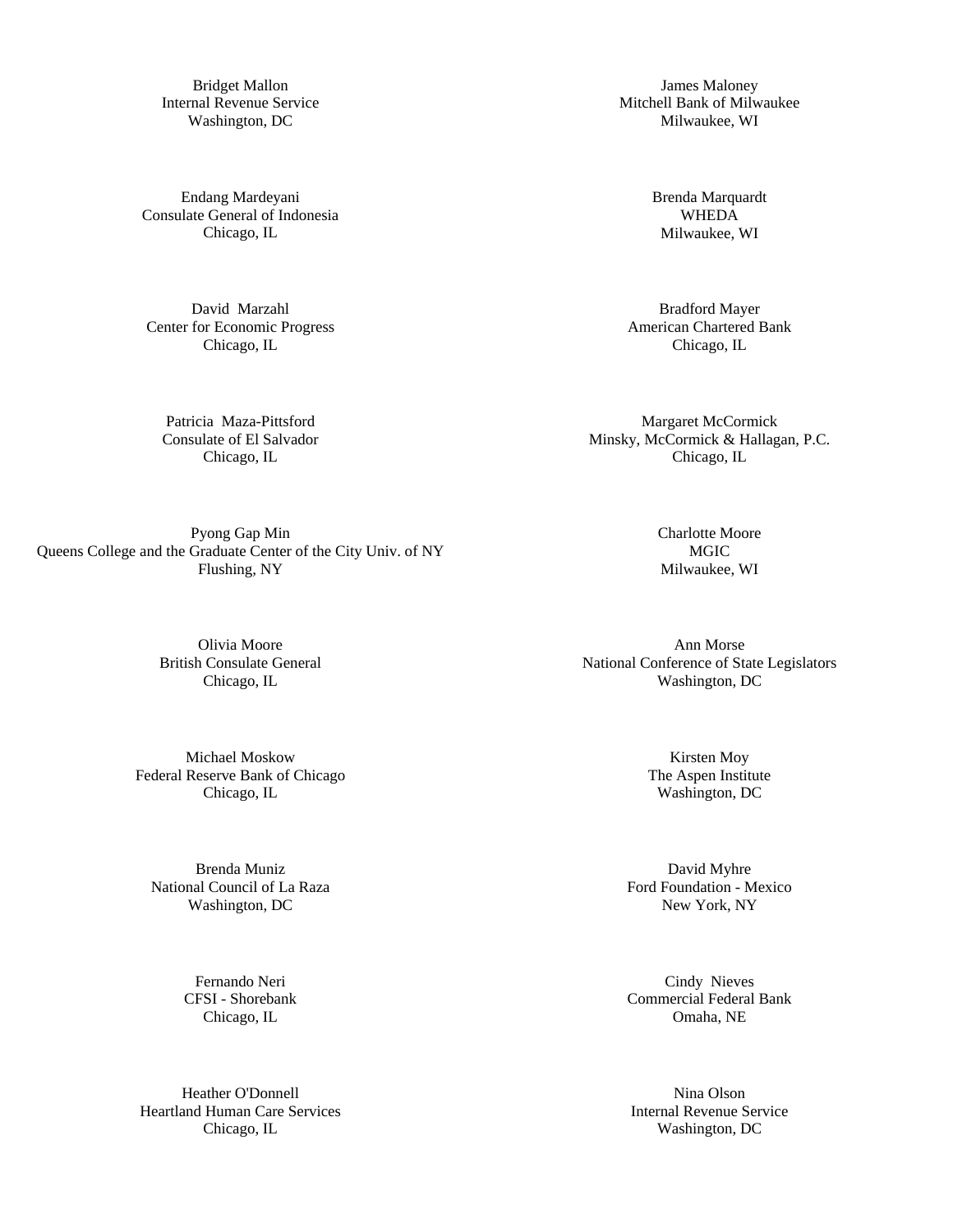Bridget Mallon Internal Revenue Service Washington, DC

Endang Mardeyani Consulate General of Indonesia Chicago, IL

David Marzahl Center for Economic Progress Chicago, IL

Patricia Maza-Pittsford Consulate of El Salvador Chicago, IL

Pyong Gap Min Queens College and the Graduate Center of the City Univ. of NY Flushing, NY

> Olivia Moore British Consulate General Chicago, IL

Michael Moskow Federal Reserve Bank of Chicago Chicago, IL

Brenda Muniz National Council of La Raza Washington, DC

> Fernando Neri CFSI - Shorebank Chicago, IL

Heather O'Donnell Heartland Human Care Services Chicago, IL

James Maloney Mitchell Bank of Milwaukee Milwaukee, WI

> Brenda Marquardt WHEDA Milwaukee, WI

Bradford Mayer American Chartered Bank Chicago, IL

Margaret McCormick Minsky, McCormick & Hallagan, P.C. Chicago, IL

> Charlotte Moore MGIC Milwaukee, WI

Ann Morse National Conference of State Legislators Washington, DC

> Kirsten Moy The Aspen Institute Washington, DC

David Myhre Ford Foundation - Mexico New York, NY

Cindy Nieves Commercial Federal Bank Omaha, NE

Nina Olson Internal Revenue Service Washington, DC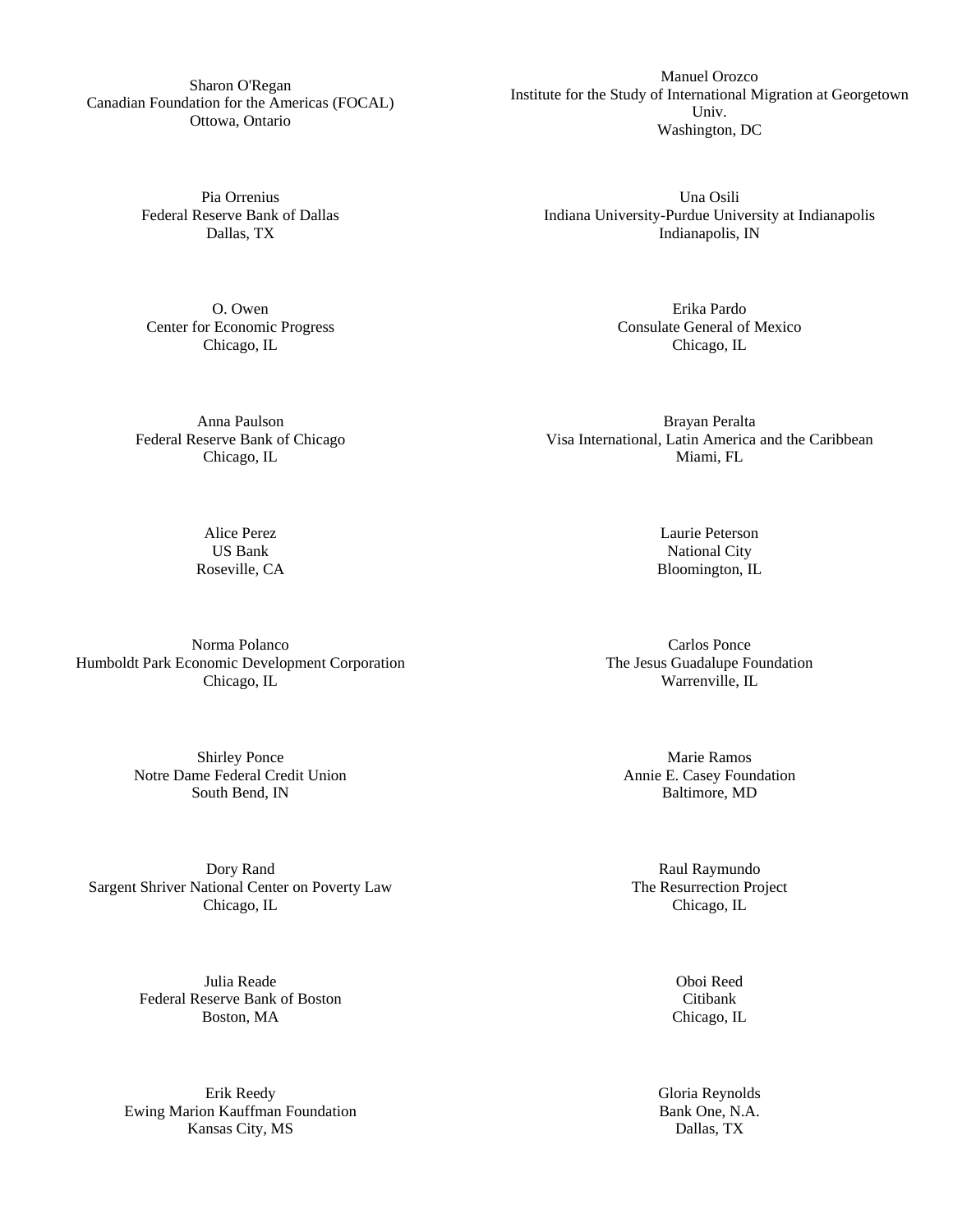Sharon O'Regan Canadian Foundation for the Americas (FOCAL) Ottowa, Ontario

> Pia Orrenius Federal Reserve Bank of Dallas Dallas, TX

O. Owen Center for Economic Progress Chicago, IL

Anna Paulson Federal Reserve Bank of Chicago Chicago, IL

Una Osili Indiana University-Purdue University at Indianapolis Indianapolis, IN

Manuel Orozco Institute for the Study of International Migration at Georgetown Univ. Washington, DC

> Erika Pardo Consulate General of Mexico Chicago, IL

Brayan Peralta Visa International, Latin America and the Caribbean Miami, FL

> Laurie Peterson National City Bloomington, IL

Carlos Ponce The Jesus Guadalupe Foundation Warrenville, IL

Marie Ramos Annie E. Casey Foundation Baltimore, MD

Raul Raymundo The Resurrection Project Chicago, IL

> Oboi Reed Citibank Chicago, IL

Gloria Reynolds Bank One, N.A. Dallas, TX

Norma Polanco Humboldt Park Economic Development Corporation Chicago, IL

> Shirley Ponce Notre Dame Federal Credit Union South Bend, IN

Dory Rand Sargent Shriver National Center on Poverty Law Chicago, IL

> Julia Reade Federal Reserve Bank of Boston Boston, MA

Erik Reedy Ewing Marion Kauffman Foundation Kansas City, MS

Alice Perez US Bank Roseville, CA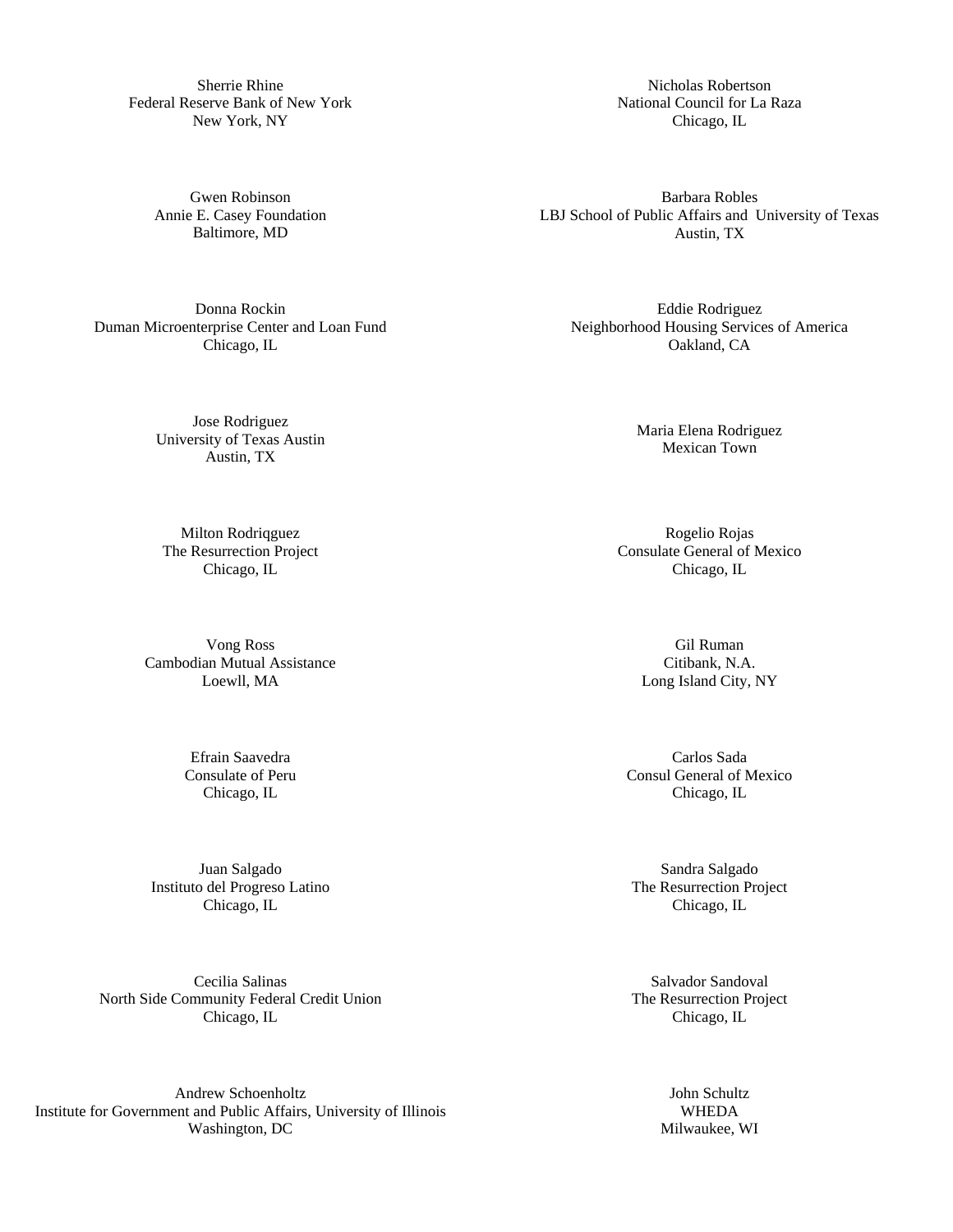Sherrie Rhine Federal Reserve Bank of New York New York, NY

> Gwen Robinson Annie E. Casey Foundation Baltimore, MD

Donna Rockin Duman Microenterprise Center and Loan Fund Chicago, IL

> Jose Rodriguez University of Texas Austin Austin, TX

Milton Rodriqguez The Resurrection Project Chicago, IL

Vong Ross Cambodian Mutual Assistance Loewll, MA

> Efrain Saavedra Consulate of Peru Chicago, IL

Juan Salgado Instituto del Progreso Latino Chicago, IL

Cecilia Salinas North Side Community Federal Credit Union Chicago, IL

Andrew Schoenholtz Institute for Government and Public Affairs, University of Illinois Washington, DC

Nicholas Robertson National Council for La Raza Chicago, IL

Barbara Robles LBJ School of Public Affairs and University of Texas Austin, TX

Eddie Rodriguez Neighborhood Housing Services of America Oakland, CA

> Maria Elena Rodriguez Mexican Town

Rogelio Rojas Consulate General of Mexico Chicago, IL

> Gil Ruman Citibank, N.A. Long Island City, NY

Carlos Sada Consul General of Mexico Chicago, IL

Sandra Salgado The Resurrection Project Chicago, IL

Salvador Sandoval The Resurrection Project Chicago, IL

> John Schultz WHEDA Milwaukee, WI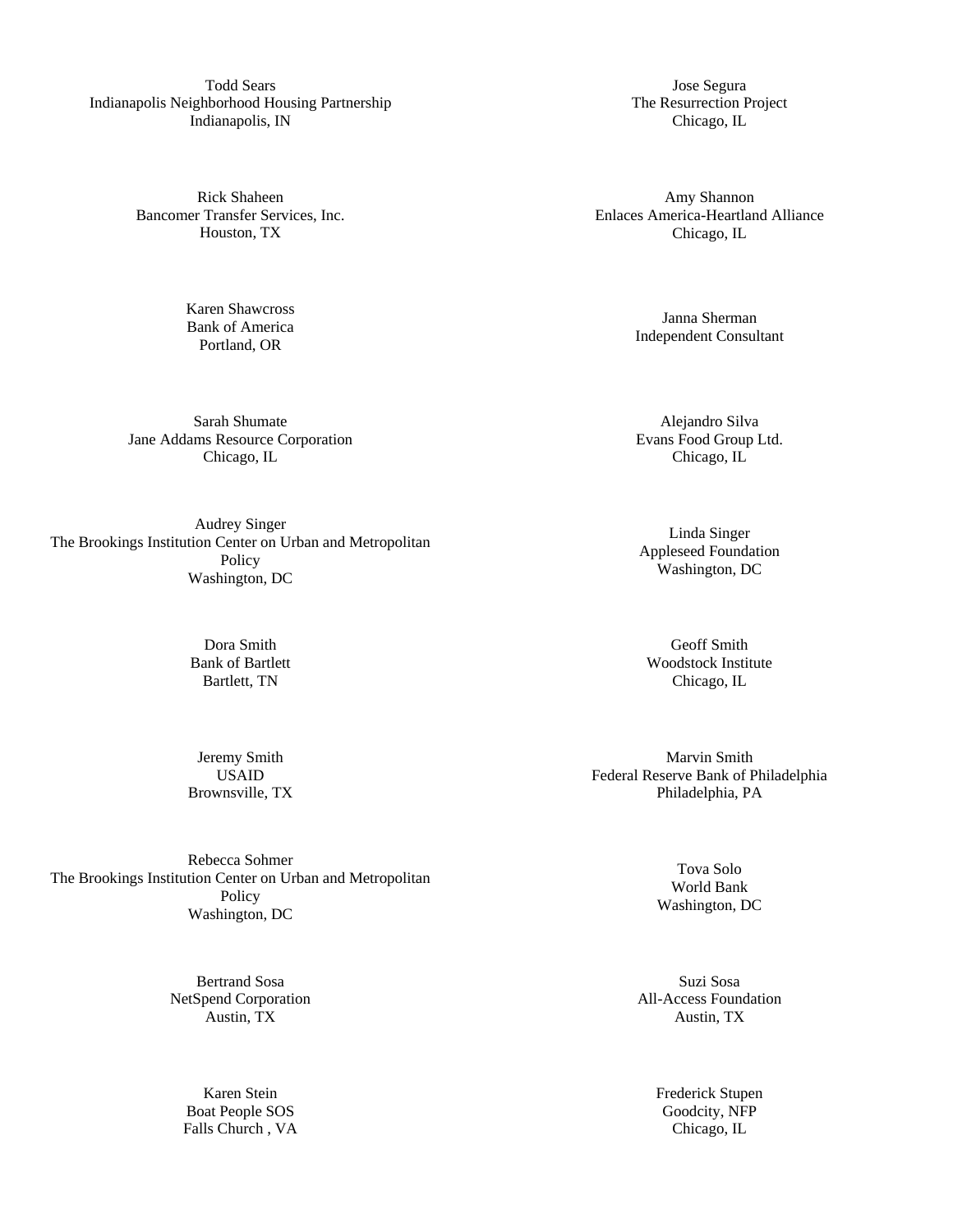Todd Sears Indianapolis Neighborhood Housing Partnership Indianapolis, IN

> Rick Shaheen Bancomer Transfer Services, Inc. Houston, TX

> > Karen Shawcross Bank of America Portland, OR

Sarah Shumate Jane Addams Resource Corporation Chicago, IL

Audrey Singer The Brookings Institution Center on Urban and Metropolitan Policy Washington, DC

> Dora Smith Bank of Bartlett Bartlett, TN

Jeremy Smith USAID Brownsville, TX

Rebecca Sohmer The Brookings Institution Center on Urban and Metropolitan Policy Washington, DC

> Bertrand Sosa NetSpend Corporation Austin, TX

> > Karen Stein Boat People SOS Falls Church , VA

Jose Segura The Resurrection Project Chicago, IL

Amy Shannon Enlaces America-Heartland Alliance Chicago, IL

> Janna Sherman Independent Consultant

Alejandro Silva Evans Food Group Ltd. Chicago, IL

Linda Singer Appleseed Foundation Washington, DC

Geoff Smith Woodstock Institute Chicago, IL

Marvin Smith Federal Reserve Bank of Philadelphia Philadelphia, PA

> Tova Solo World Bank Washington, DC

Suzi Sosa All-Access Foundation Austin, TX

> Frederick Stupen Goodcity, NFP Chicago, IL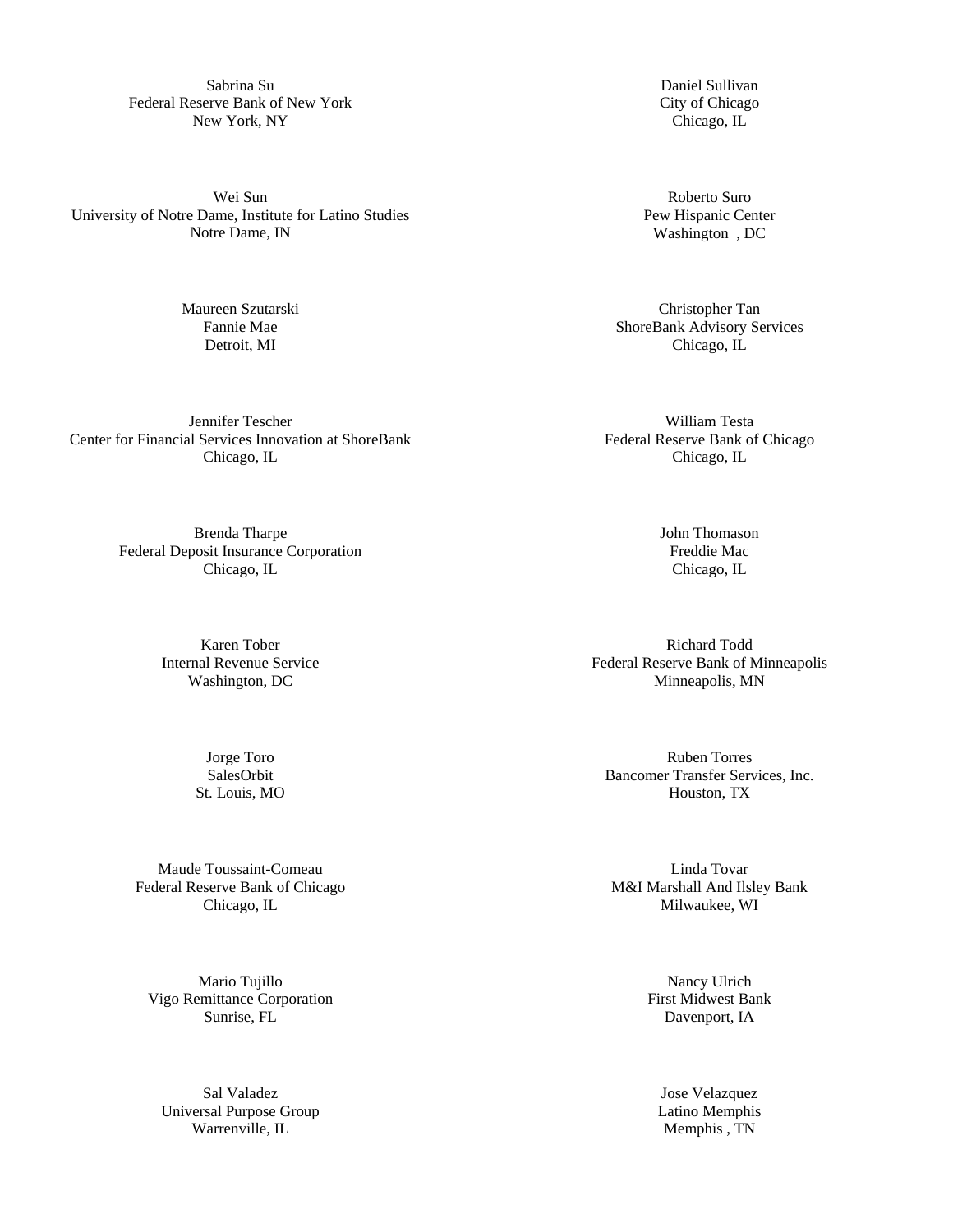Sabrina Su Federal Reserve Bank of New York New York, NY

Wei Sun University of Notre Dame, Institute for Latino Studies Notre Dame, IN

> Maureen Szutarski Fannie Mae Detroit, MI

Jennifer Tescher Center for Financial Services Innovation at ShoreBank Chicago, IL

> Brenda Tharpe Federal Deposit Insurance Corporation Chicago, IL

> > Karen Tober Internal Revenue Service Washington, DC

> > > Jorge Toro SalesOrbit St. Louis, MO

Maude Toussaint-Comeau Federal Reserve Bank of Chicago Chicago, IL

Mario Tujillo Vigo Remittance Corporation Sunrise, FL

Sal Valadez Universal Purpose Group Warrenville, IL

Daniel Sullivan City of Chicago Chicago, IL

Roberto Suro Pew Hispanic Center Washington , DC

Christopher Tan ShoreBank Advisory Services Chicago, IL

William Testa Federal Reserve Bank of Chicago Chicago, IL

> John Thomason Freddie Mac Chicago, IL

Richard Todd Federal Reserve Bank of Minneapolis Minneapolis, MN

Ruben Torres Bancomer Transfer Services, Inc. Houston, TX

Linda Tovar M&I Marshall And Ilsley Bank Milwaukee, WI

> Nancy Ulrich First Midwest Bank Davenport, IA

Jose Velazquez Latino Memphis Memphis , TN